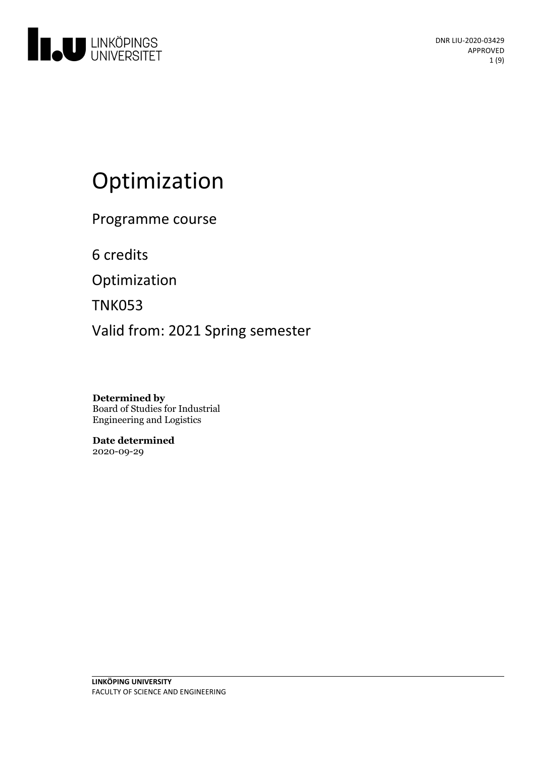

# Optimization

Programme course

6 credits

Optimization

TNK053

Valid from: 2021 Spring semester

**Determined by** Board of Studies for Industrial Engineering and Logistics

**Date determined** 2020-09-29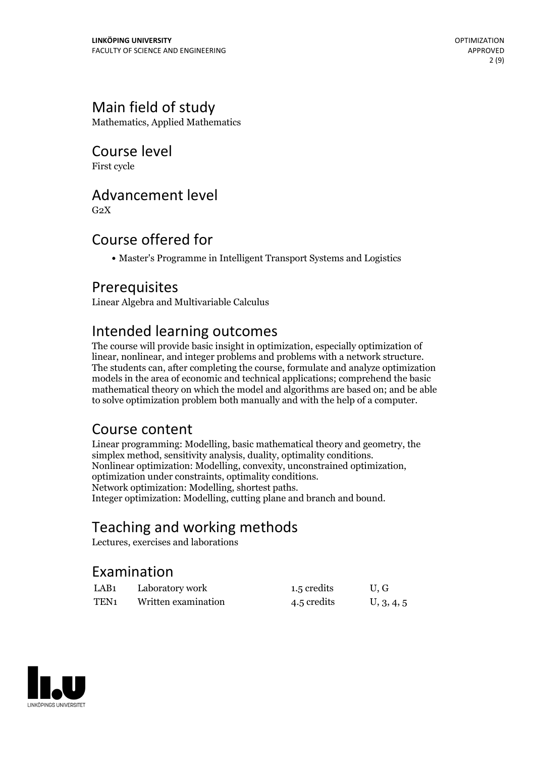# Main field of study

Mathematics, Applied Mathematics

Course level

First cycle

# Advancement level

 $G<sub>2</sub>X$ 

# Course offered for

Master's Programme in Intelligent Transport Systems and Logistics

## Prerequisites

Linear Algebra and Multivariable Calculus

# Intended learning outcomes

The course will provide basic insight in optimization, especially optimization of linear, nonlinear, and integer problems and problems with <sup>a</sup> network structure. The students can, after completing the course, formulate and analyze optimization models in the area of economic and technical applications; comprehend the basic mathematical theory on which the model and algorithms are based on; and be able to solve optimization problem both manually and with the help of a computer.

# Course content

Linear programming: Modelling, basic mathematical theory and geometry, the simplex method, sensitivity analysis, duality, optimality conditions.<br>Nonlinear optimization: Modelling, convexity, unconstrained optimization, optimization under constraints, optimality conditions.<br>Network optimization: M Integer optimization: Modelling, cutting plane and branch and bound.

# Teaching and working methods

Lectures, exercises and laborations

# Examination

| LAB <sub>1</sub> | Laboratory work     | 1.5 credits | U.G        |
|------------------|---------------------|-------------|------------|
| TEN <sub>1</sub> | Written examination | 4.5 credits | U, 3, 4, 5 |

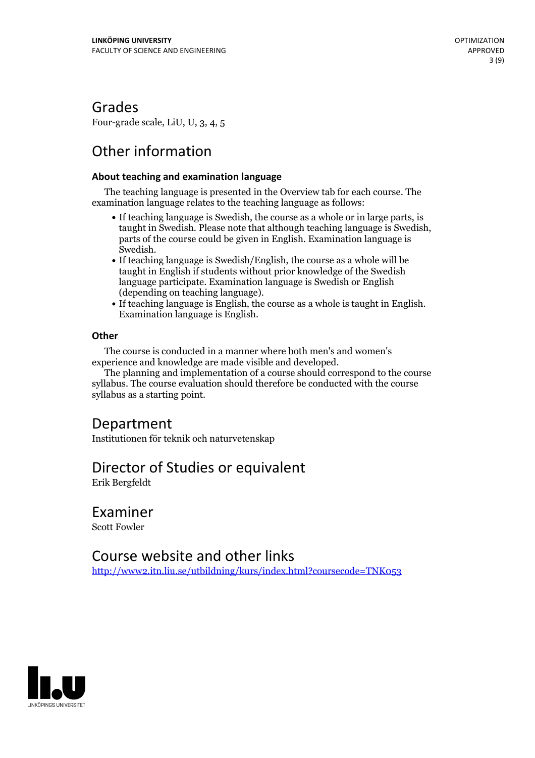Grades

Four-grade scale, LiU, U, 3, 4, 5

# Other information

### **About teaching and examination language**

The teaching language is presented in the Overview tab for each course. The examination language relates to the teaching language as follows:

- If teaching language is Swedish, the course as a whole or in large parts, is taught in Swedish. Please note that although teaching language is Swedish, parts of the course could be given in English. Examination language is
- Swedish.<br>• If teaching language is Swedish/English, the course as a whole will be taught in English if students without prior knowledge of the Swedish language participate. Examination language is Swedish or English
- (depending on teaching language).<br>• If teaching language is English, the course as a whole is taught in English.<br>Examination language is English.

### **Other**

The course is conducted in a manner where both men's and women's

The planning and implementation of a course should correspond to the course syllabus. The course evaluation should therefore be conducted with the course syllabus as a starting point.

## Department

Institutionen för teknik och naturvetenskap

## Director of Studies or equivalent

Erik Bergfeldt

Examiner Scott Fowler

## Course website and other links

<http://www2.itn.liu.se/utbildning/kurs/index.html?coursecode=TNK053>

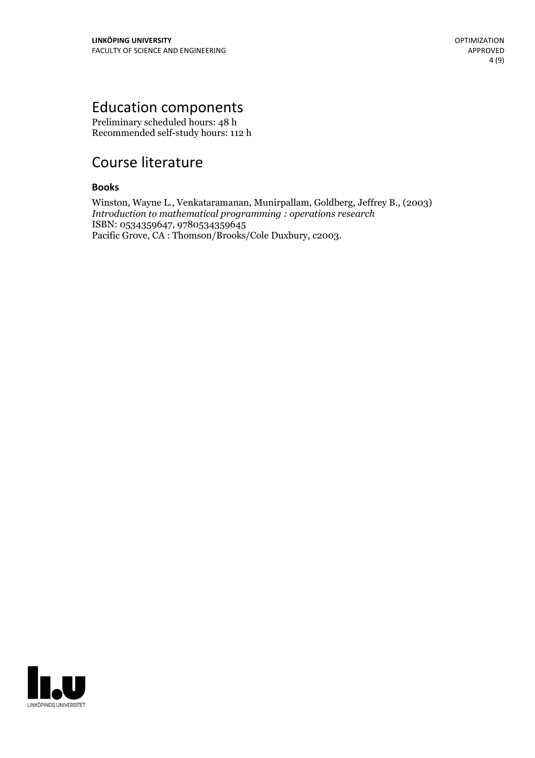# Education components

Preliminary scheduled hours: 48 h Recommended self-study hours: 112 h

# Course literature

### **Books**

Winston, Wayne L., Venkataramanan, Munirpallam, Goldberg, Jeffrey B., (2003) *Introduction to mathematical programming : operations research* ISBN: 0534359647, 9780534359645 Pacific Grove, CA : Thomson/Brooks/Cole Duxbury, c2003.

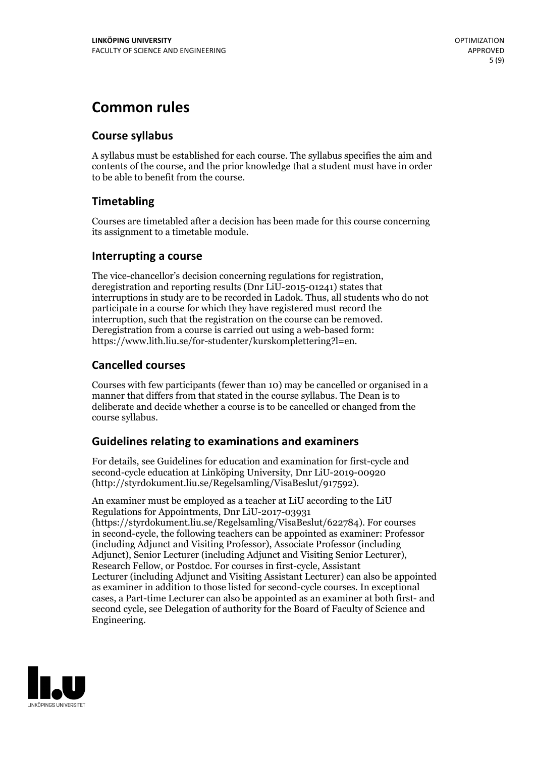# **Common rules**

### **Course syllabus**

A syllabus must be established for each course. The syllabus specifies the aim and contents of the course, and the prior knowledge that a student must have in order to be able to benefit from the course.

### **Timetabling**

Courses are timetabled after a decision has been made for this course concerning its assignment to a timetable module.

### **Interrupting a course**

The vice-chancellor's decision concerning regulations for registration, deregistration and reporting results (Dnr LiU-2015-01241) states that interruptions in study are to be recorded in Ladok. Thus, all students who do not participate in a course for which they have registered must record the interruption, such that the registration on the course can be removed. Deregistration from <sup>a</sup> course is carried outusing <sup>a</sup> web-based form: https://www.lith.liu.se/for-studenter/kurskomplettering?l=en.

### **Cancelled courses**

Courses with few participants (fewer than 10) may be cancelled or organised in a manner that differs from that stated in the course syllabus. The Dean is to deliberate and decide whether a course is to be cancelled or changed from the course syllabus.

### **Guidelines relatingto examinations and examiners**

For details, see Guidelines for education and examination for first-cycle and second-cycle education at Linköping University, Dnr LiU-2019-00920 (http://styrdokument.liu.se/Regelsamling/VisaBeslut/917592).

An examiner must be employed as a teacher at LiU according to the LiU Regulations for Appointments, Dnr LiU-2017-03931 (https://styrdokument.liu.se/Regelsamling/VisaBeslut/622784). For courses in second-cycle, the following teachers can be appointed as examiner: Professor (including Adjunct and Visiting Professor), Associate Professor (including Adjunct), Senior Lecturer (including Adjunct and Visiting Senior Lecturer), Research Fellow, or Postdoc. For courses in first-cycle, Assistant Lecturer (including Adjunct and Visiting Assistant Lecturer) can also be appointed as examiner in addition to those listed for second-cycle courses. In exceptional cases, a Part-time Lecturer can also be appointed as an examiner at both first- and second cycle, see Delegation of authority for the Board of Faculty of Science and Engineering.

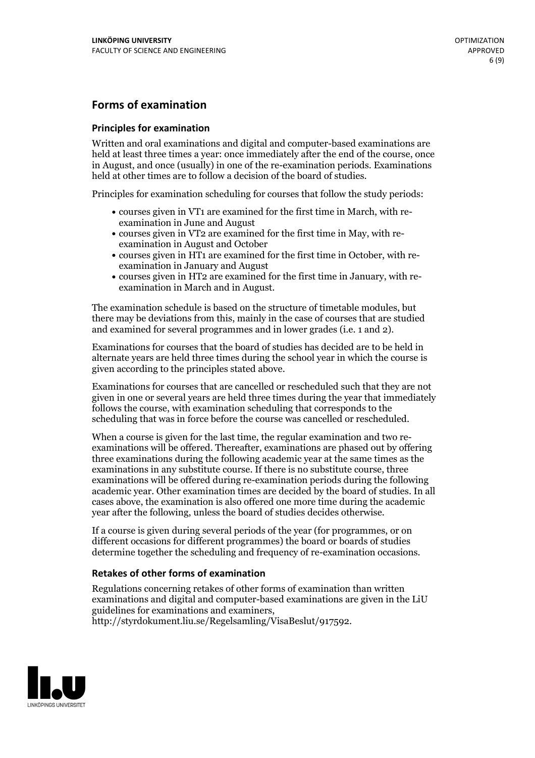### **Forms of examination**

#### **Principles for examination**

Written and oral examinations and digital and computer-based examinations are held at least three times a year: once immediately after the end of the course, once in August, and once (usually) in one of the re-examination periods. Examinations held at other times are to follow a decision of the board of studies.

Principles for examination scheduling for courses that follow the study periods:

- courses given in VT1 are examined for the first time in March, with re-examination in June and August
- courses given in VT2 are examined for the first time in May, with re-examination in August and October
- courses given in HT1 are examined for the first time in October, with re-examination in January and August
- courses given in HT2 are examined for the first time in January, with re-examination in March and in August.

The examination schedule is based on the structure of timetable modules, but there may be deviations from this, mainly in the case of courses that are studied and examined for several programmes and in lower grades (i.e. 1 and 2).

Examinations for courses that the board of studies has decided are to be held in alternate years are held three times during the school year in which the course is given according to the principles stated above.

Examinations for courses that are cancelled orrescheduled such that they are not given in one or several years are held three times during the year that immediately follows the course, with examination scheduling that corresponds to the scheduling that was in force before the course was cancelled or rescheduled.

When a course is given for the last time, the regular examination and two re-<br>examinations will be offered. Thereafter, examinations are phased out by offering three examinations during the following academic year at the same times as the examinations in any substitute course. If there is no substitute course, three examinations will be offered during re-examination periods during the following academic year. Other examination times are decided by the board of studies. In all cases above, the examination is also offered one more time during the academic year after the following, unless the board of studies decides otherwise.

If a course is given during several periods of the year (for programmes, or on different occasions for different programmes) the board or boards of studies determine together the scheduling and frequency of re-examination occasions.

### **Retakes of other forms of examination**

Regulations concerning retakes of other forms of examination than written examinations and digital and computer-based examinations are given in the LiU guidelines for examinations and examiners, http://styrdokument.liu.se/Regelsamling/VisaBeslut/917592.

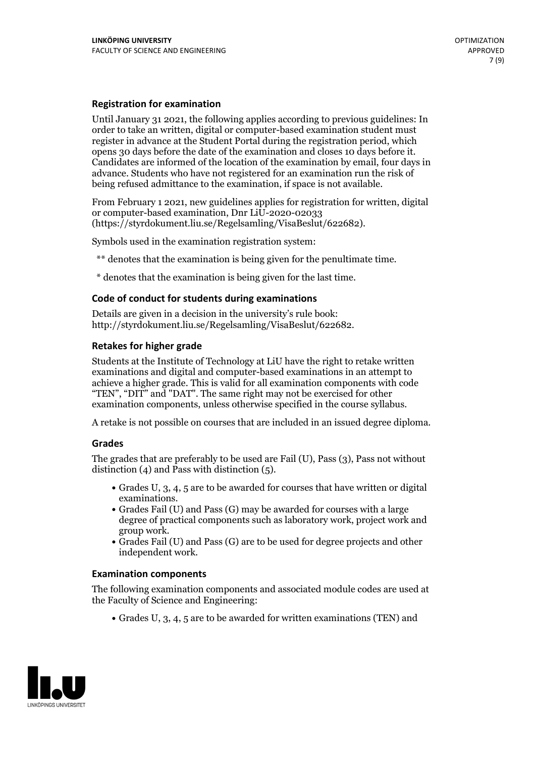### **Registration for examination**

Until January 31 2021, the following applies according to previous guidelines: In order to take an written, digital or computer-based examination student must register in advance at the Student Portal during the registration period, which Candidates are informed of the location of the examination by email, four days in advance. Students who have not registered for an examination run the risk of being refused admittance to the examination, if space is not available.

From February 1 2021, new guidelines applies for registration for written, digital or computer-based examination, Dnr LiU-2020-02033 (https://styrdokument.liu.se/Regelsamling/VisaBeslut/622682).

Symbols used in the examination registration system:

\*\* denotes that the examination is being given for the penultimate time.

\* denotes that the examination is being given for the last time.

#### **Code of conduct for students during examinations**

Details are given in a decision in the university's rule book: http://styrdokument.liu.se/Regelsamling/VisaBeslut/622682.

### **Retakes for higher grade**

Students at the Institute of Technology at LiU have the right to retake written examinations and digital and computer-based examinations in an attempt to achieve a higher grade. This is valid for all examination components with code "TEN", "DIT" and "DAT". The same right may not be exercised for other examination components, unless otherwise specified in the course syllabus.

A retake is not possible on courses that are included in an issued degree diploma.

#### **Grades**

The grades that are preferably to be used are Fail (U), Pass (3), Pass not without distinction  $(4)$  and Pass with distinction  $(5)$ .

- Grades U, 3, 4, 5 are to be awarded for courses that have written or digital examinations.<br>• Grades Fail (U) and Pass (G) may be awarded for courses with a large
- degree of practical components such as laboratory work, project work and
- $\bullet$  Grades Fail (U) and Pass (G) are to be used for degree projects and other independent work.

#### **Examination components**

The following examination components and associated module codes are used at the Faculty of Science and Engineering:

Grades U, 3, 4, 5 are to be awarded for written examinations (TEN) and

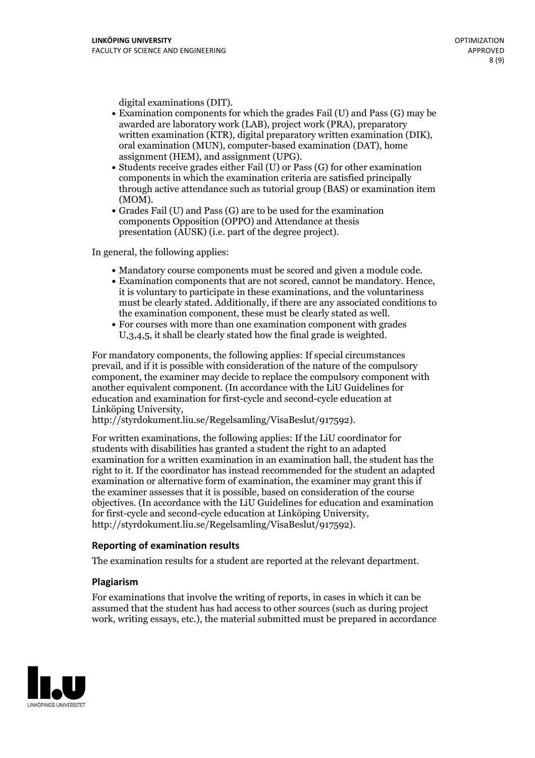- digital examinations (DIT).<br>• Examination components for which the grades Fail (U) and Pass (G) may be awarded are laboratory work (LAB), project work (PRA), preparatory written examination (KTR), digital preparatory written examination (DIK), oral examination (MUN), computer-based examination (DAT), home
- assignment (HEM), and assignment (UPG).<br>• Students receive grades either Fail (U) or Pass (G) for other examination components in which the examination criteria are satisfied principally through active attendance such as tutorial group (BAS) or examination item
- (MOM).<br>• Grades Fail (U) and Pass (G) are to be used for the examination components Opposition (OPPO) and Attendance at thesis presentation (AUSK) (i.e. part of the degree project).

In general, the following applies:

- 
- Mandatory course components must be scored and given <sup>a</sup> module code. Examination components that are not scored, cannot be mandatory. Hence, it is voluntary to participate in these examinations, and the voluntariness must be clearly stated. Additionally, if there are any associated conditions to the examination component, these must be clearly stated as well.<br>• For courses with more than one examination component with grades
- U,3,4,5, it shall be clearly stated how the final grade is weighted.

For mandatory components, the following applies: If special circumstances prevail, and if it is possible with consideration of the nature ofthe compulsory component, the examiner may decide to replace the compulsory component with another equivalent component. (In accordance with the LiU Guidelines for education and examination for first-cycle and second-cycle education at Linköping University, http://styrdokument.liu.se/Regelsamling/VisaBeslut/917592).

For written examinations, the following applies: If the LiU coordinator for students with disabilities has granted a student the right to an adapted examination for a written examination in an examination hall, the student has the right to it. If the coordinator has instead recommended for the student an adapted examination or alternative form of examination, the examiner may grant this if the examiner assesses that it is possible, based on consideration of the course objectives. (In accordance with the LiU Guidelines for education and examination for first-cycle and second-cycle education at Linköping University, http://styrdokument.liu.se/Regelsamling/VisaBeslut/917592).

#### **Reporting of examination results**

The examination results for a student are reported at the relevant department.

#### **Plagiarism**

For examinations that involve the writing of reports, in cases in which it can be assumed that the student has had access to other sources (such as during project work, writing essays, etc.), the material submitted must be prepared in accordance